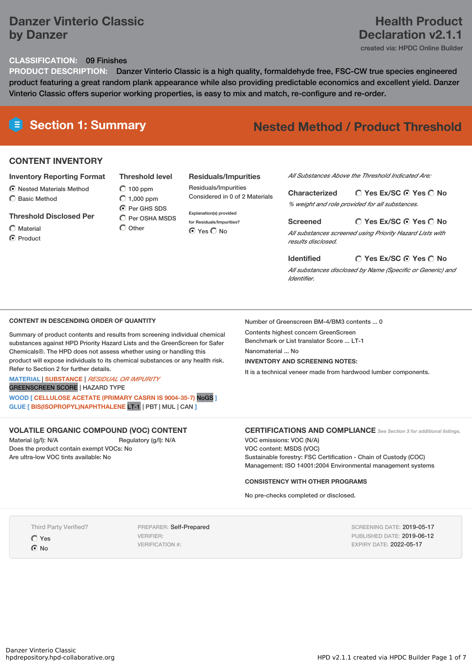# **Danzer Vinterio Classic by Danzer**

# **Health Product Declaration v2.1.1**

created via: HPDC Online Builder

#### **CLASSIFICATION:** 09 Finishes

**PRODUCT DESCRIPTION:** Danzer Vinterio Classic is a high quality, formaldehyde free, FSC-CW true species engineered product featuring a great random plank appearance while also providing predictable economics and excellent yield. Danzer Vinterio Classic offers superior working properties, is easy to mix and match, re-configure and re-order.

# **Section 1: Summary Nested Method / Product Threshold**

#### **CONTENT INVENTORY**

#### **Inventory Reporting Format**

Nested Materials Method C Basic Method

**Threshold Disclosed Per** Material

**O** Product

**Threshold level**  $\bigcirc$  100 ppm  $\bigcirc$  1,000 ppm **C** Per GHS SDS  $\bigcirc$  Per OSHA MSDS

#### **Residuals/Impurities**

Residuals/Impurities Considered in 0 of 2 Materials

**Explanation(s) provided for Residuals/Impurities? O** Yes O No

*All Substances Above the Threshold Indicated Are:*

**Yes Ex/SC Yes No Characterized** *% weight and role provided for all substances.*

**Screened**

**Identified**

Number of Greenscreen BM-4/BM3 contents ... 0

Contents highest concern GreenScreen Benchmark or List translator Score ... LT-1

**INVENTORY AND SCREENING NOTES:**

Nanomaterial ... No

*All substances screened using Priority Hazard Lists with results disclosed.*

**Yes Ex/SC Yes No**

**Yes Ex/SC Yes No** *All substances disclosed by Name (Specific or Generic) and Identifier.*

#### **CONTENT IN DESCENDING ORDER OF QUANTITY**

Summary of product contents and results from screening individual chemical substances against HPD Priority Hazard Lists and the GreenScreen for Safer Chemicals®. The HPD does not assess whether using or handling this product will expose individuals to its chemical substances or any health risk. Refer to Section 2 for further details.

#### **MATERIAL** | **SUBSTANCE** | *RESIDUAL OR IMPURITY* GREENSCREEN SCORE | HAZARD TYPE

**WOOD [ CELLULOSE ACETATE (PRIMARY CASRN IS 9004-35-7)** NoGS **]**

**GLUE [ BIS(ISOPROPYL)NAPHTHALENE** LT-1 | PBT | MUL | CAN **]**

#### **VOLATILE ORGANIC COMPOUND (VOC) CONTENT**

Material (g/l): N/A Regulatory (g/l): N/A Does the product contain exempt VOCs: No Are ultra-low VOC tints available: No

### **CERTIFICATIONS AND COMPLIANCE** *See Section <sup>3</sup> for additional listings.*

VOC emissions: VOC (N/A) VOC content: MSDS (VOC) Sustainable forestry: FSC Certification - Chain of Custody (COC) Management: ISO 14001:2004 Environmental management systems

It is a technical veneer made from hardwood lumber components.

#### **CONSISTENCY WITH OTHER PROGRAMS**

No pre-checks completed or disclosed.

Third Party Verified?

Yes  $\odot$  No

PREPARER: Self-Prepared VERIFIER: VERIFICATION #:

SCREENING DATE: 2019-05-17 PUBLISHED DATE: 2019-06-12 EXPIRY DATE: 2022-05-17

 $\bigcap$  Other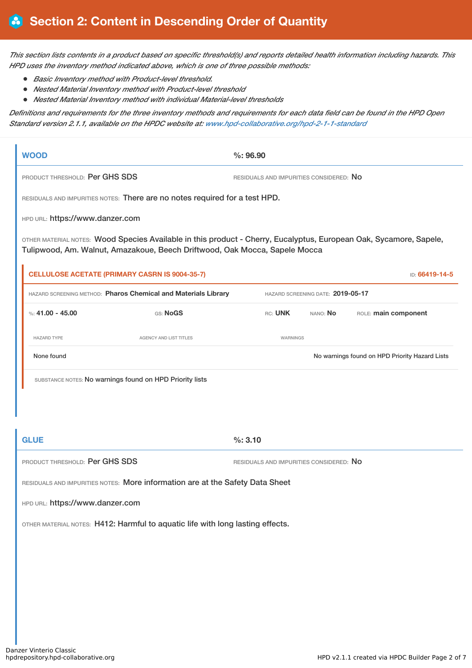This section lists contents in a product based on specific threshold(s) and reports detailed health information including hazards. This *HPD uses the inventory method indicated above, which is one of three possible methods:*

- *Basic Inventory method with Product-level threshold.*
- *Nested Material Inventory method with Product-level threshold*
- *Nested Material Inventory method with individual Material-level thresholds*

Definitions and requirements for the three inventory methods and requirements for each data field can be found in the HPD Open *Standard version 2.1.1, available on the HPDC website at: [www.hpd-collaborative.org/hpd-2-1-1-standard](https://www.hpd-collaborative.org/hpd-2-1-1-standard)*

| <b>WOOD</b>                                                                                                                                                                                      | $\%: 96.90$                                    |  |  |  |
|--------------------------------------------------------------------------------------------------------------------------------------------------------------------------------------------------|------------------------------------------------|--|--|--|
| PRODUCT THRESHOLD: Per GHS SDS                                                                                                                                                                   | RESIDUALS AND IMPURITIES CONSIDERED: NO        |  |  |  |
| RESIDUALS AND IMPURITIES NOTES: There are no notes required for a test HPD.                                                                                                                      |                                                |  |  |  |
| HPD URL: https://www.danzer.com                                                                                                                                                                  |                                                |  |  |  |
| OTHER MATERIAL NOTES: Wood Species Available in this product - Cherry, Eucalyptus, European Oak, Sycamore, Sapele,<br>Tulipwood, Am. Walnut, Amazakoue, Beech Driftwood, Oak Mocca, Sapele Mocca |                                                |  |  |  |
| <b>CELLULOSE ACETATE (PRIMARY CASRN IS 9004-35-7)</b>                                                                                                                                            | ID: 66419-14-5                                 |  |  |  |
| HAZARD SCREENING METHOD: Pharos Chemical and Materials Library                                                                                                                                   | HAZARD SCREENING DATE: 2019-05-17              |  |  |  |
| %: $41.00 - 45.00$<br>GS: NoGS                                                                                                                                                                   | RC: UNK<br>ROLE: main component<br>NANO: No    |  |  |  |
| <b>HAZARD TYPE</b><br>AGENCY AND LIST TITLES                                                                                                                                                     | WARNINGS                                       |  |  |  |
| None found                                                                                                                                                                                       | No warnings found on HPD Priority Hazard Lists |  |  |  |
| SUBSTANCE NOTES: No warnings found on HPD Priority lists                                                                                                                                         |                                                |  |  |  |
|                                                                                                                                                                                                  |                                                |  |  |  |
|                                                                                                                                                                                                  |                                                |  |  |  |
| <b>GLUE</b>                                                                                                                                                                                      | %: 3.10                                        |  |  |  |
| PRODUCT THRESHOLD: Per GHS SDS                                                                                                                                                                   | RESIDUALS AND IMPURITIES CONSIDERED: NO        |  |  |  |
| RESIDUALS AND IMPURITIES NOTES: More information are at the Safety Data Sheet                                                                                                                    |                                                |  |  |  |
| HPD URL: https://www.danzer.com                                                                                                                                                                  |                                                |  |  |  |
| OTHER MATERIAL NOTES: H412: Harmful to aquatic life with long lasting effects.                                                                                                                   |                                                |  |  |  |
|                                                                                                                                                                                                  |                                                |  |  |  |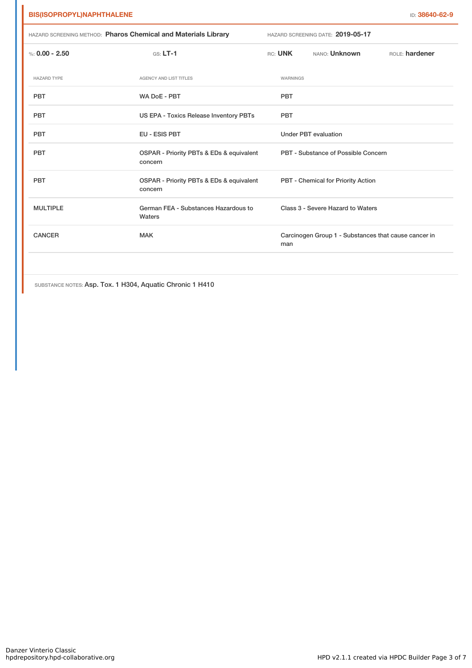| HAZARD SCREENING METHOD: Pharos Chemical and Materials Library |                                                     | HAZARD SCREENING DATE: 2019-05-17                           |            |                                     |                |
|----------------------------------------------------------------|-----------------------------------------------------|-------------------------------------------------------------|------------|-------------------------------------|----------------|
| %: $0.00 - 2.50$                                               | $GS: LT-1$                                          |                                                             | $RC:$ UNK  | NANO: Unknown                       | ROLE: hardener |
| <b>HAZARD TYPE</b>                                             | AGENCY AND LIST TITLES                              |                                                             | WARNINGS   |                                     |                |
| <b>PBT</b>                                                     | WA DoE - PBT                                        |                                                             | <b>PBT</b> |                                     |                |
| <b>PBT</b>                                                     | US EPA - Toxics Release Inventory PBTs              |                                                             | <b>PBT</b> |                                     |                |
| <b>PBT</b>                                                     | <b>EU - ESIS PBT</b>                                |                                                             |            | <b>Under PBT evaluation</b>         |                |
| <b>PBT</b>                                                     | OSPAR - Priority PBTs & EDs & equivalent<br>concern |                                                             |            | PBT - Substance of Possible Concern |                |
| <b>PBT</b>                                                     | OSPAR - Priority PBTs & EDs & equivalent<br>concern |                                                             |            | PBT - Chemical for Priority Action  |                |
| <b>MULTIPLE</b>                                                | German FEA - Substances Hazardous to<br>Waters      |                                                             |            | Class 3 - Severe Hazard to Waters   |                |
| <b>CANCER</b>                                                  | <b>MAK</b>                                          | Carcinogen Group 1 - Substances that cause cancer in<br>man |            |                                     |                |
|                                                                |                                                     |                                                             |            |                                     |                |

SUBSTANCE NOTES: Asp. Tox. 1 H304, Aquatic Chronic 1 H410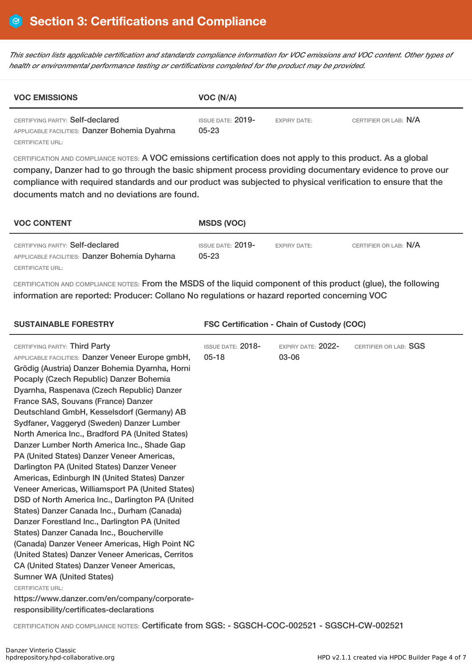This section lists applicable certification and standards compliance information for VOC emissions and VOC content. Other types of *health or environmental performance testing or certifications completed for the product may be provided.*

| <b>VOC EMISSIONS</b>                                                             | VOC (N/A)                        |                     |                       |  |
|----------------------------------------------------------------------------------|----------------------------------|---------------------|-----------------------|--|
| CERTIFYING PARTY: Self-declared<br>APPLICABLE FACILITIES: Danzer Bohemia Dyahrna | ISSUE DATE: $2019-$<br>$05 - 23$ | <b>EXPIRY DATE:</b> | CERTIFIER OR LAB: N/A |  |
| CERTIFICATE URL:                                                                 |                                  |                     |                       |  |

CERTIFICATION AND COMPLIANCE NOTES: A VOC emissions certification does not apply to this product. As a global company, Danzer had to go through the basic shipment process providing documentary evidence to prove our compliance with required standards and our product was subjected to physical verification to ensure that the documents match and no deviations are found.

| <b>VOC CONTENT</b>                                                                                   | <b>MSDS (VOC)</b>                |                     |                       |
|------------------------------------------------------------------------------------------------------|----------------------------------|---------------------|-----------------------|
| CERTIFYING PARTY: Self-declared<br>APPLICABLE FACILITIES: Danzer Bohemia Dyharna<br>CERTIFICATE URL: | ISSUE DATE: $2019-$<br>$05 - 23$ | <b>EXPIRY DATE:</b> | CERTIFIER OR LAB: N/A |

CERTIFICATION AND COMPLIANCE NOTES: From the MSDS of the liquid component of this product (glue), the following information are reported: Producer: Collano No regulations or hazard reported concerning VOC

| <b>SUSTAINABLE FORESTRY</b>                                                                                                                                                                                                                                                                                                                                                                                                                                                                                                                                                                                                                                                                                                                                                                                                                                                                                                                                                                                                                                                                                                                                                        | <b>FSC Certification - Chain of Custody (COC)</b> |                             |                       |  |
|------------------------------------------------------------------------------------------------------------------------------------------------------------------------------------------------------------------------------------------------------------------------------------------------------------------------------------------------------------------------------------------------------------------------------------------------------------------------------------------------------------------------------------------------------------------------------------------------------------------------------------------------------------------------------------------------------------------------------------------------------------------------------------------------------------------------------------------------------------------------------------------------------------------------------------------------------------------------------------------------------------------------------------------------------------------------------------------------------------------------------------------------------------------------------------|---------------------------------------------------|-----------------------------|-----------------------|--|
| CERTIFYING PARTY: Third Party<br>APPLICABLE FACILITIES: Danzer Veneer Europe gmbH,<br>Grödig (Austria) Danzer Bohemia Dyarnha, Horni<br>Pocaply (Czech Republic) Danzer Bohemia<br>Dyarnha, Raspenava (Czech Republic) Danzer<br>France SAS, Souvans (France) Danzer<br>Deutschland GmbH, Kesselsdorf (Germany) AB<br>Sydfaner, Vaggeryd (Sweden) Danzer Lumber<br>North America Inc., Bradford PA (United States)<br>Danzer Lumber North America Inc., Shade Gap<br>PA (United States) Danzer Veneer Americas,<br>Darlington PA (United States) Danzer Veneer<br>Americas, Edinburgh IN (United States) Danzer<br>Veneer Americas, Williamsport PA (United States)<br>DSD of North America Inc., Darlington PA (United<br>States) Danzer Canada Inc., Durham (Canada)<br>Danzer Forestland Inc., Darlington PA (United<br>States) Danzer Canada Inc., Boucherville<br>(Canada) Danzer Veneer Americas, High Point NC<br>(United States) Danzer Veneer Americas, Cerritos<br>CA (United States) Danzer Veneer Americas,<br><b>Sumner WA (United States)</b><br><b>CERTIFICATE URL:</b><br>https://www.danzer.com/en/company/corporate-<br>responsibility/certificates-declarations | <b>ISSUE DATE: 2018-</b><br>$05 - 18$             | EXPIRY DATE: 2022-<br>03-06 | CERTIFIER OR LAB: SGS |  |
|                                                                                                                                                                                                                                                                                                                                                                                                                                                                                                                                                                                                                                                                                                                                                                                                                                                                                                                                                                                                                                                                                                                                                                                    |                                                   |                             |                       |  |

CERTIFICATION AND COMPLIANCE NOTES: Certificate from SGS: - SGSCH-COC-002521 - SGSCH-CW-002521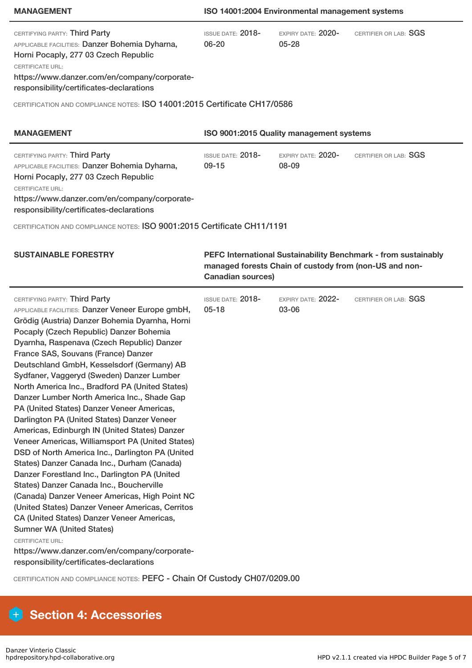### **MANAGEMENT ISO 14001:2004 Environmental management systems**

| CERTIFYING PARTY: Third Party<br>APPLICABLE FACILITIES: Danzer Bohemia Dyharna,<br>Horni Pocaply, 277 03 Czech Republic<br><b>CERTIFICATE URL:</b><br>https://www.danzer.com/en/company/corporate-<br>responsibility/certificates-declarations                                                                                                                                                                                                                                                                                                                                                                                                                                                                                                                                                                                                                                                                                                                                                                                                                                                                                                                                                                                                                 | <b>ISSUE DATE: 2018-</b><br>06-20                                                                                                                    | EXPIRY DATE: 2020-<br>$05 - 28$ | CERTIFIER OR LAB: SGS |  |
|----------------------------------------------------------------------------------------------------------------------------------------------------------------------------------------------------------------------------------------------------------------------------------------------------------------------------------------------------------------------------------------------------------------------------------------------------------------------------------------------------------------------------------------------------------------------------------------------------------------------------------------------------------------------------------------------------------------------------------------------------------------------------------------------------------------------------------------------------------------------------------------------------------------------------------------------------------------------------------------------------------------------------------------------------------------------------------------------------------------------------------------------------------------------------------------------------------------------------------------------------------------|------------------------------------------------------------------------------------------------------------------------------------------------------|---------------------------------|-----------------------|--|
| CERTIFICATION AND COMPLIANCE NOTES: ISO 14001:2015 Certificate CH17/0586                                                                                                                                                                                                                                                                                                                                                                                                                                                                                                                                                                                                                                                                                                                                                                                                                                                                                                                                                                                                                                                                                                                                                                                       |                                                                                                                                                      |                                 |                       |  |
|                                                                                                                                                                                                                                                                                                                                                                                                                                                                                                                                                                                                                                                                                                                                                                                                                                                                                                                                                                                                                                                                                                                                                                                                                                                                |                                                                                                                                                      |                                 |                       |  |
| <b>MANAGEMENT</b>                                                                                                                                                                                                                                                                                                                                                                                                                                                                                                                                                                                                                                                                                                                                                                                                                                                                                                                                                                                                                                                                                                                                                                                                                                              | ISO 9001:2015 Quality management systems                                                                                                             |                                 |                       |  |
| CERTIFYING PARTY: Third Party<br>APPLICABLE FACILITIES: Danzer Bohemia Dyharna,<br>Horni Pocaply, 277 03 Czech Republic<br><b>CERTIFICATE URL:</b><br>https://www.danzer.com/en/company/corporate-<br>responsibility/certificates-declarations                                                                                                                                                                                                                                                                                                                                                                                                                                                                                                                                                                                                                                                                                                                                                                                                                                                                                                                                                                                                                 | <b>ISSUE DATE: 2018-</b><br>$09 - 15$                                                                                                                | EXPIRY DATE: 2020-<br>08-09     | CERTIFIER OR LAB: SGS |  |
| CERTIFICATION AND COMPLIANCE NOTES: ISO 9001:2015 Certificate CH11/1191                                                                                                                                                                                                                                                                                                                                                                                                                                                                                                                                                                                                                                                                                                                                                                                                                                                                                                                                                                                                                                                                                                                                                                                        |                                                                                                                                                      |                                 |                       |  |
| <b>SUSTAINABLE FORESTRY</b>                                                                                                                                                                                                                                                                                                                                                                                                                                                                                                                                                                                                                                                                                                                                                                                                                                                                                                                                                                                                                                                                                                                                                                                                                                    | PEFC International Sustainability Benchmark - from sustainably<br>managed forests Chain of custody from (non-US and non-<br><b>Canadian sources)</b> |                                 |                       |  |
| CERTIFYING PARTY: Third Party<br>APPLICABLE FACILITIES: Danzer Veneer Europe gmbH,<br>Grödig (Austria) Danzer Bohemia Dyarnha, Horni<br>Pocaply (Czech Republic) Danzer Bohemia<br>Dyarnha, Raspenava (Czech Republic) Danzer<br>France SAS, Souvans (France) Danzer<br>Deutschland GmbH, Kesselsdorf (Germany) AB<br>Sydfaner, Vaggeryd (Sweden) Danzer Lumber<br>North America Inc., Bradford PA (United States)<br>Danzer Lumber North America Inc., Shade Gap<br>PA (United States) Danzer Veneer Americas,<br>Darlington PA (United States) Danzer Veneer<br>Americas, Edinburgh IN (United States) Danzer<br>Veneer Americas, Williamsport PA (United States)<br>DSD of North America Inc., Darlington PA (United<br>States) Danzer Canada Inc., Durham (Canada)<br>Danzer Forestland Inc., Darlington PA (United<br>States) Danzer Canada Inc., Boucherville<br>(Canada) Danzer Veneer Americas, High Point NC<br>(United States) Danzer Veneer Americas, Cerritos<br>CA (United States) Danzer Veneer Americas,<br><b>Sumner WA (United States)</b><br><b>CERTIFICATE URL:</b><br>https://www.danzer.com/en/company/corporate-<br>responsibility/certificates-declarations<br>CERTIFICATION AND COMPLIANCE NOTES: PEFC - Chain Of Custody CH07/0209.00 | ISSUE DATE: 2018-<br>$05 - 18$                                                                                                                       | EXPIRY DATE: 2022-<br>03-06     | CERTIFIER OR LAB: SGS |  |

# **Section 4: Accessories**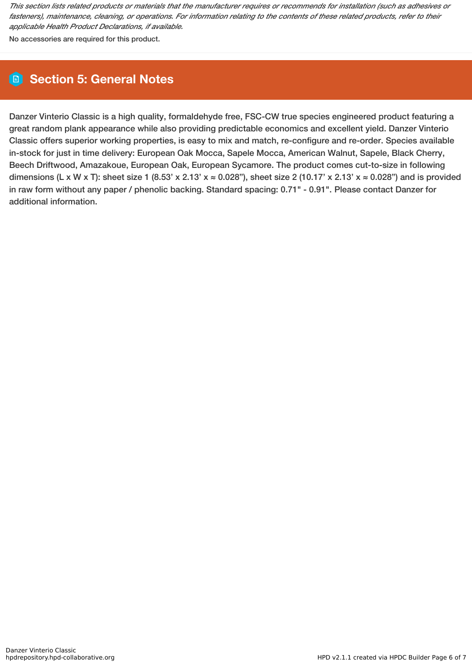This section lists related products or materials that the manufacturer requires or recommends for installation (such as adhesives or fasteners), maintenance, cleaning, or operations. For information relating to the contents of these related products, refer to their *applicable Health Product Declarations, if available.*

No accessories are required for this product.

# **Section 5: General Notes**

Danzer Vinterio Classic is a high quality, formaldehyde free, FSC-CW true species engineered product featuring a great random plank appearance while also providing predictable economics and excellent yield. Danzer Vinterio Classic offers superior working properties, is easy to mix and match, re-configure and re-order. Species available in-stock for just in time delivery: European Oak Mocca, Sapele Mocca, American Walnut, Sapele, Black Cherry, Beech Driftwood, Amazakoue, European Oak, European Sycamore. The product comes cut-to-size in following dimensions (L x W x T): sheet size 1 (8.53' x 2.13' x  $\approx$  0.028"), sheet size 2 (10.17' x 2.13' x  $\approx$  0.028") and is provided in raw form without any paper / phenolic backing. Standard spacing: 0.71" - 0.91". Please contact Danzer for additional information.